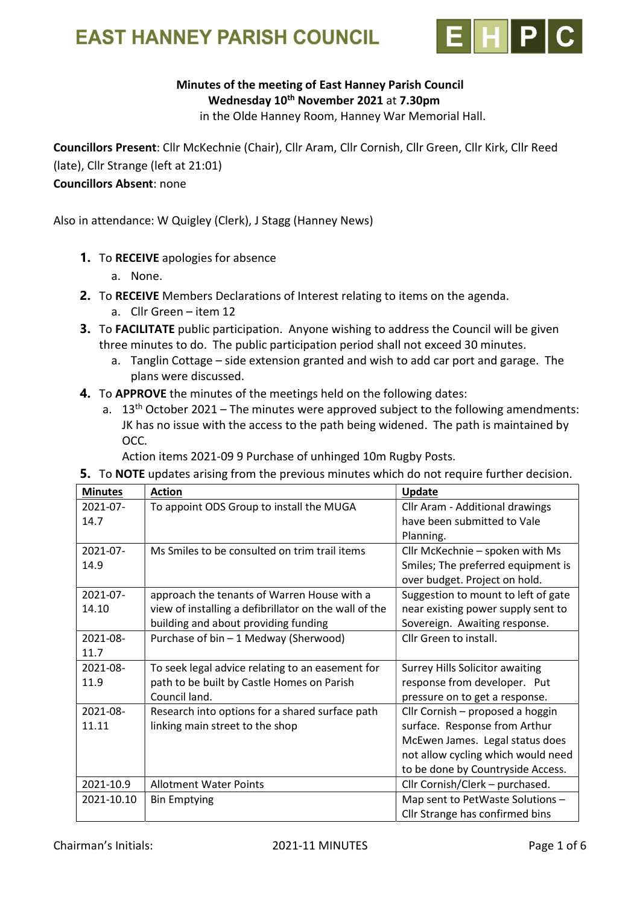

### Minutes of the meeting of East Hanney Parish Council Wednesday 10<sup>th</sup> November 2021 at 7.30pm

in the Olde Hanney Room, Hanney War Memorial Hall.

Councillors Present: Cllr McKechnie (Chair), Cllr Aram, Cllr Cornish, Cllr Green, Cllr Kirk, Cllr Reed (late), Cllr Strange (left at 21:01)

#### Councillors Absent: none

Also in attendance: W Quigley (Clerk), J Stagg (Hanney News)

- 1. To RECEIVE apologies for absence
	- a. None.
- 2. To RECEIVE Members Declarations of Interest relating to items on the agenda.
	- a. Cllr Green item 12
- **3.** To FACILITATE public participation. Anyone wishing to address the Council will be given three minutes to do. The public participation period shall not exceed 30 minutes.
	- a. Tanglin Cottage side extension granted and wish to add car port and garage. The plans were discussed.
- 4. To APPROVE the minutes of the meetings held on the following dates:
	- a.  $13<sup>th</sup>$  October 2021 The minutes were approved subject to the following amendments: JK has no issue with the access to the path being widened. The path is maintained by OCC.

Action items 2021-09 9 Purchase of unhinged 10m Rugby Posts.

**5.** To **NOTE** updates arising from the previous minutes which do not require further decision.

| <b>Minutes</b> | <b>Action</b>                                         | Update                                 |
|----------------|-------------------------------------------------------|----------------------------------------|
| 2021-07-       | To appoint ODS Group to install the MUGA              | Cllr Aram - Additional drawings        |
| 14.7           |                                                       | have been submitted to Vale            |
|                |                                                       | Planning.                              |
| 2021-07-       | Ms Smiles to be consulted on trim trail items         | Cllr McKechnie - spoken with Ms        |
| 14.9           |                                                       | Smiles; The preferred equipment is     |
|                |                                                       | over budget. Project on hold.          |
| 2021-07-       | approach the tenants of Warren House with a           | Suggestion to mount to left of gate    |
| 14.10          | view of installing a defibrillator on the wall of the | near existing power supply sent to     |
|                | building and about providing funding                  | Sovereign. Awaiting response.          |
| $2021 - 08 -$  | Purchase of bin - 1 Medway (Sherwood)                 | Cllr Green to install.                 |
| 11.7           |                                                       |                                        |
| 2021-08-       | To seek legal advice relating to an easement for      | <b>Surrey Hills Solicitor awaiting</b> |
| 11.9           | path to be built by Castle Homes on Parish            | response from developer. Put           |
|                | Council land.                                         | pressure on to get a response.         |
| 2021-08-       | Research into options for a shared surface path       | Cllr Cornish - proposed a hoggin       |
| 11.11          | linking main street to the shop                       | surface. Response from Arthur          |
|                |                                                       | McEwen James. Legal status does        |
|                |                                                       | not allow cycling which would need     |
|                |                                                       | to be done by Countryside Access.      |
| 2021-10.9      | <b>Allotment Water Points</b>                         | Cllr Cornish/Clerk - purchased.        |
| 2021-10.10     | <b>Bin Emptying</b>                                   | Map sent to PetWaste Solutions -       |
|                |                                                       | Cllr Strange has confirmed bins        |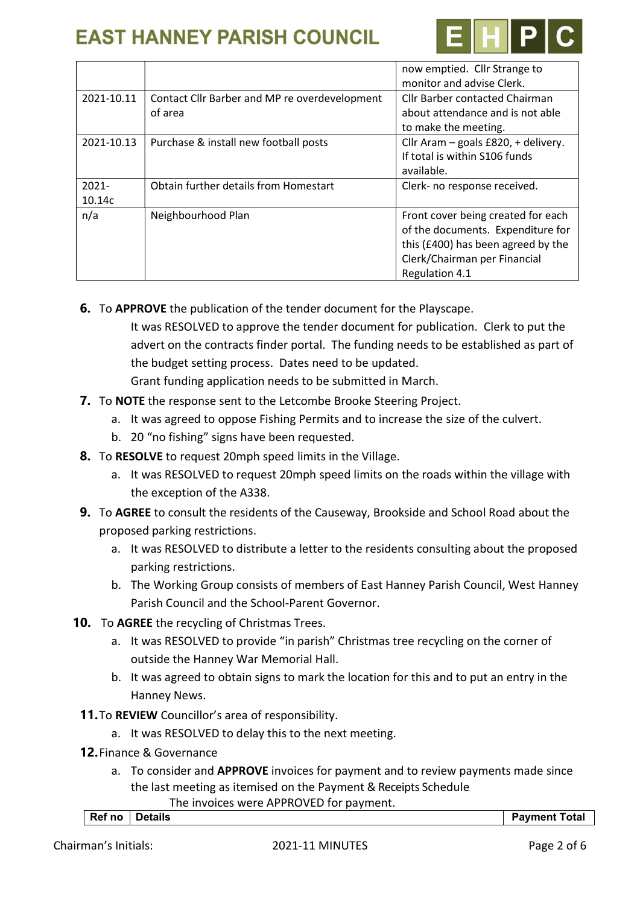

| <b>Cllr Barber contacted Chairman</b> |
|---------------------------------------|
| about attendance and is not able      |
|                                       |
| Cllr Aram - goals £820, + delivery.   |
|                                       |
|                                       |
|                                       |
|                                       |
| Front cover being created for each    |
| of the documents. Expenditure for     |
| this (£400) has been agreed by the    |
|                                       |
|                                       |
|                                       |

6. To APPROVE the publication of the tender document for the Playscape. It was RESOLVED to approve the tender document for publication. Clerk to put the advert on the contracts finder portal. The funding needs to be established as part of the budget setting process. Dates need to be updated.

Grant funding application needs to be submitted in March.

- 7. To NOTE the response sent to the Letcombe Brooke Steering Project.
	- a. It was agreed to oppose Fishing Permits and to increase the size of the culvert.
	- b. 20 "no fishing" signs have been requested.
- 8. To RESOLVE to request 20mph speed limits in the Village.
	- a. It was RESOLVED to request 20mph speed limits on the roads within the village with the exception of the A338.
- 9. To AGREE to consult the residents of the Causeway, Brookside and School Road about the proposed parking restrictions.
	- a. It was RESOLVED to distribute a letter to the residents consulting about the proposed parking restrictions.
	- b. The Working Group consists of members of East Hanney Parish Council, West Hanney Parish Council and the School-Parent Governor.
- 10. To AGREE the recycling of Christmas Trees.
	- a. It was RESOLVED to provide "in parish" Christmas tree recycling on the corner of outside the Hanney War Memorial Hall.
	- b. It was agreed to obtain signs to mark the location for this and to put an entry in the Hanney News.
	- 11.To REVIEW Councillor's area of responsibility.
		- a. It was RESOLVED to delay this to the next meeting.
	- 12.Finance & Governance
		- a. To consider and APPROVE invoices for payment and to review payments made since the last meeting as itemised on the Payment & Receipts Schedule The invoices were APPROVED for payment.

| Ref no | Details<br>. | Pavment<br>`otal |
|--------|--------------|------------------|
|        |              |                  |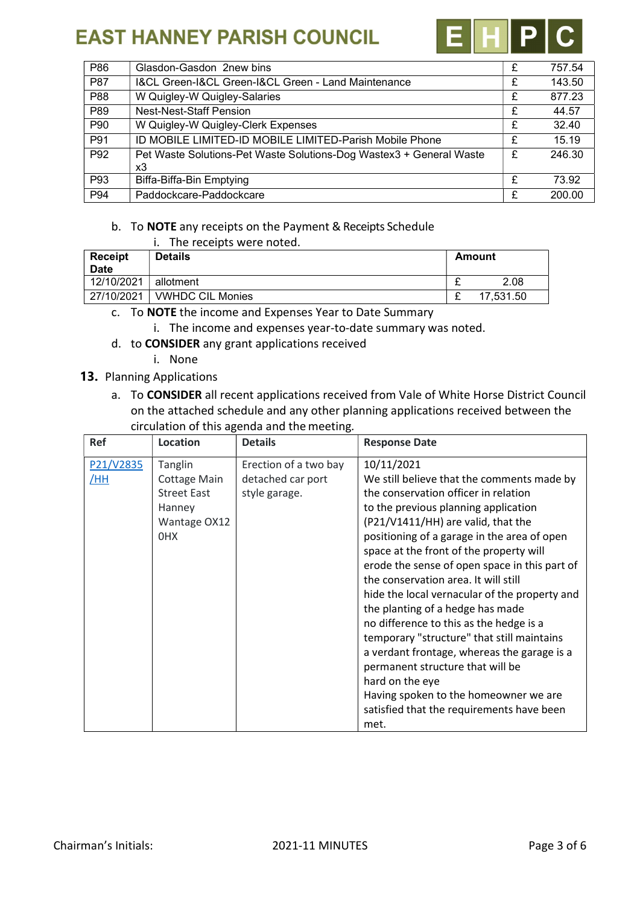

| P86             | Glasdon-Gasdon 2new bins                                            | £ | 757.54 |
|-----------------|---------------------------------------------------------------------|---|--------|
| <b>P87</b>      | I&CL Green-I&CL Green-I&CL Green - Land Maintenance                 | £ | 143.50 |
| P88             | W Quigley-W Quigley-Salaries                                        | £ | 877.23 |
| P89             | <b>Nest-Nest-Staff Pension</b>                                      | £ | 44.57  |
| P90             | W Quigley-W Quigley-Clerk Expenses                                  | £ | 32.40  |
| P91             | ID MOBILE LIMITED-ID MOBILE LIMITED-Parish Mobile Phone             | £ | 15.19  |
| P <sub>92</sub> | Pet Waste Solutions-Pet Waste Solutions-Dog Wastex3 + General Waste | £ | 246.30 |
|                 | x3                                                                  |   |        |
| P93             | Biffa-Biffa-Bin Emptying                                            | £ | 73.92  |
| P94             | Paddockcare-Paddockcare                                             | £ | 200.00 |

#### b. To NOTE any receipts on the Payment & Receipts Schedule

| i. |  | The receipts were noted. |  |  |  |
|----|--|--------------------------|--|--|--|
|----|--|--------------------------|--|--|--|

| <b>Receipt</b><br><b>Date</b> | <b>Details</b>          | Amount    |
|-------------------------------|-------------------------|-----------|
| 12/10/2021                    | allotment               | 2.08      |
| 27/10/2021                    | <b>VWHDC CIL Monies</b> | 17,531.50 |
|                               |                         |           |

c. To NOTE the income and Expenses Year to Date Summary

- i. The income and expenses year-to-date summary was noted.
- d. to CONSIDER any grant applications received
	- i. None

#### 13. Planning Applications

a. To CONSIDER all recent applications received from Vale of White Horse District Council on the attached schedule and any other planning applications received between the circulation of this agenda and the meeting.

| <b>Ref</b>       | <b>Location</b>                                                                | <b>Details</b>                                              | <b>Response Date</b>                                                                                                                                                                                                                                                                                                                                                                                                                                                                                                                                                                                                                                                                                                                                |
|------------------|--------------------------------------------------------------------------------|-------------------------------------------------------------|-----------------------------------------------------------------------------------------------------------------------------------------------------------------------------------------------------------------------------------------------------------------------------------------------------------------------------------------------------------------------------------------------------------------------------------------------------------------------------------------------------------------------------------------------------------------------------------------------------------------------------------------------------------------------------------------------------------------------------------------------------|
| P21/V2835<br>/HH | Tanglin<br>Cottage Main<br><b>Street East</b><br>Hanney<br>Wantage OX12<br>0HX | Erection of a two bay<br>detached car port<br>style garage. | 10/11/2021<br>We still believe that the comments made by<br>the conservation officer in relation<br>to the previous planning application<br>(P21/V1411/HH) are valid, that the<br>positioning of a garage in the area of open<br>space at the front of the property will<br>erode the sense of open space in this part of<br>the conservation area. It will still<br>hide the local vernacular of the property and<br>the planting of a hedge has made<br>no difference to this as the hedge is a<br>temporary "structure" that still maintains<br>a verdant frontage, whereas the garage is a<br>permanent structure that will be<br>hard on the eye<br>Having spoken to the homeowner we are<br>satisfied that the requirements have been<br>met. |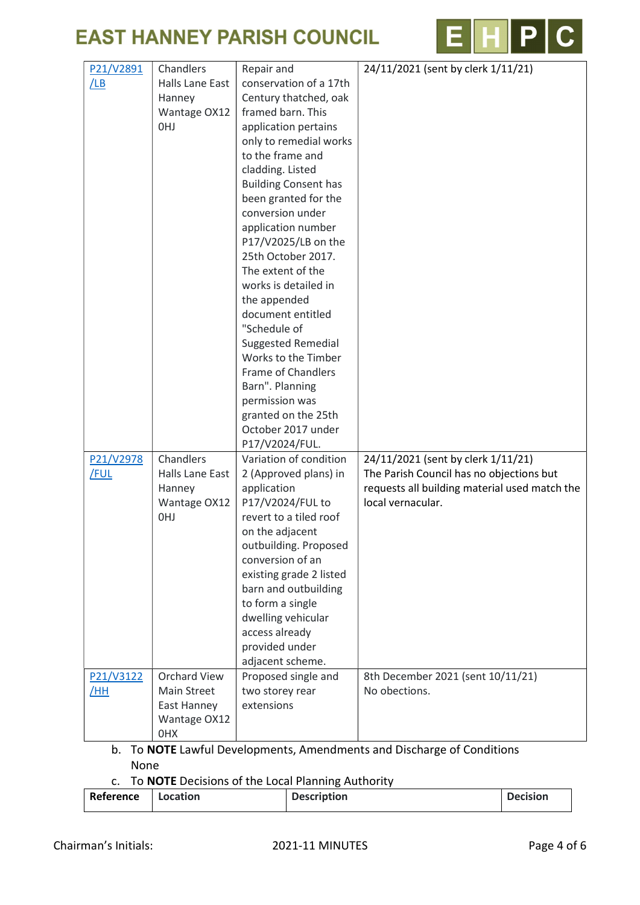



| P21/V2891<br>/LB  | Chandlers<br><b>Halls Lane East</b><br>Hanney<br>Wantage OX12<br>0HJ                   | Repair and<br>conservation of a 17th<br>Century thatched, oak<br>framed barn. This<br>application pertains<br>only to remedial works<br>to the frame and<br>cladding. Listed<br><b>Building Consent has</b><br>been granted for the<br>conversion under<br>application number<br>P17/V2025/LB on the<br>25th October 2017.<br>The extent of the<br>works is detailed in<br>the appended<br>document entitled<br>"Schedule of<br><b>Suggested Remedial</b><br>Works to the Timber<br><b>Frame of Chandlers</b><br>Barn". Planning<br>permission was<br>granted on the 25th<br>October 2017 under | 24/11/2021 (sent by clerk 1/11/21)                                                                                                                   |
|-------------------|----------------------------------------------------------------------------------------|-------------------------------------------------------------------------------------------------------------------------------------------------------------------------------------------------------------------------------------------------------------------------------------------------------------------------------------------------------------------------------------------------------------------------------------------------------------------------------------------------------------------------------------------------------------------------------------------------|------------------------------------------------------------------------------------------------------------------------------------------------------|
| P21/V2978<br>/FUL | Chandlers<br>Halls Lane East<br>Hanney<br>Wantage OX12<br>0HJ                          | P17/V2024/FUL.<br>Variation of condition<br>2 (Approved plans) in<br>application<br>P17/V2024/FUL to<br>revert to a tiled roof<br>on the adjacent<br>outbuilding. Proposed<br>conversion of an<br>existing grade 2 listed<br>barn and outbuilding<br>to form a single<br>dwelling vehicular<br>access already<br>provided under<br>adjacent scheme.                                                                                                                                                                                                                                             | 24/11/2021 (sent by clerk 1/11/21)<br>The Parish Council has no objections but<br>requests all building material used match the<br>local vernacular. |
| P21/V3122<br>/HH  | <b>Orchard View</b><br><b>Main Street</b><br>East Hanney<br>Wantage OX12<br><b>OHX</b> | Proposed single and<br>two storey rear<br>extensions                                                                                                                                                                                                                                                                                                                                                                                                                                                                                                                                            | 8th December 2021 (sent 10/11/21)<br>No obections.                                                                                                   |

- b. To NOTE Lawful Developments, Amendments and Discharge of Conditions None
- c. To NOTE Decisions of the Local Planning Authority

| Reference | Location | <b>Description</b> | <b>Decision</b> |
|-----------|----------|--------------------|-----------------|
|-----------|----------|--------------------|-----------------|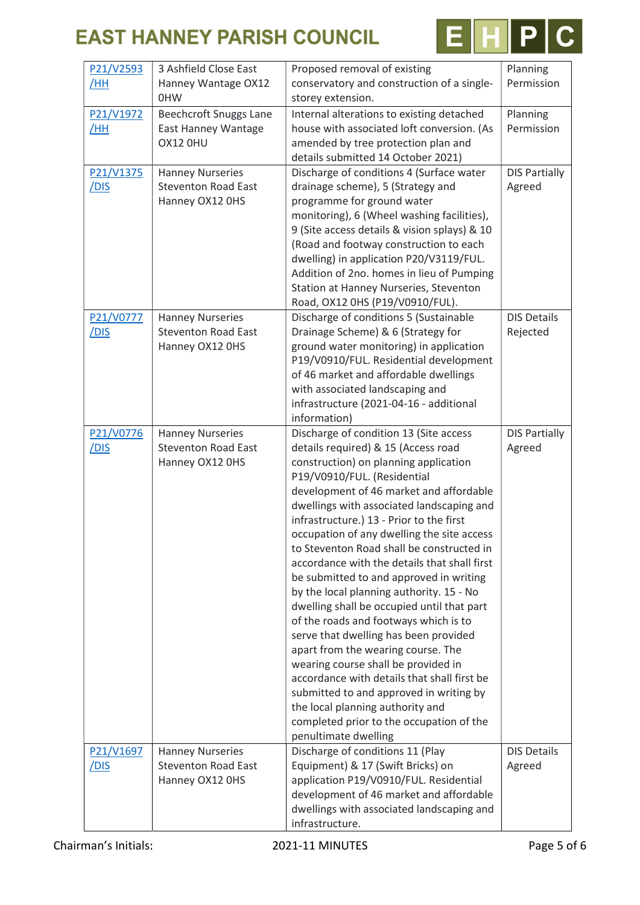

| P21/V2593<br>/HH  | 3 Ashfield Close East<br>Hanney Wantage OX12<br>0HW                      | Proposed removal of existing<br>conservatory and construction of a single-<br>storey extension.                                                                                                                                                                                                                                                                                                                                                                                                                                                                                                                                                                                                                                                                                                                                                                                                                                            | Planning<br>Permission         |
|-------------------|--------------------------------------------------------------------------|--------------------------------------------------------------------------------------------------------------------------------------------------------------------------------------------------------------------------------------------------------------------------------------------------------------------------------------------------------------------------------------------------------------------------------------------------------------------------------------------------------------------------------------------------------------------------------------------------------------------------------------------------------------------------------------------------------------------------------------------------------------------------------------------------------------------------------------------------------------------------------------------------------------------------------------------|--------------------------------|
| P21/V1972<br>/HH  | <b>Beechcroft Snuggs Lane</b><br>East Hanney Wantage<br>OX12 OHU         | Internal alterations to existing detached<br>house with associated loft conversion. (As<br>amended by tree protection plan and<br>details submitted 14 October 2021)                                                                                                                                                                                                                                                                                                                                                                                                                                                                                                                                                                                                                                                                                                                                                                       | Planning<br>Permission         |
| P21/V1375<br>/DIS | <b>Hanney Nurseries</b><br><b>Steventon Road East</b><br>Hanney OX12 OHS | Discharge of conditions 4 (Surface water<br>drainage scheme), 5 (Strategy and<br>programme for ground water<br>monitoring), 6 (Wheel washing facilities),<br>9 (Site access details & vision splays) & 10<br>(Road and footway construction to each<br>dwelling) in application P20/V3119/FUL.<br>Addition of 2no. homes in lieu of Pumping<br>Station at Hanney Nurseries, Steventon<br>Road, OX12 0HS (P19/V0910/FUL).                                                                                                                                                                                                                                                                                                                                                                                                                                                                                                                   | <b>DIS Partially</b><br>Agreed |
| P21/V0777<br>/DIS | <b>Hanney Nurseries</b><br><b>Steventon Road East</b><br>Hanney OX12 OHS | Discharge of conditions 5 (Sustainable<br>Drainage Scheme) & 6 (Strategy for<br>ground water monitoring) in application<br>P19/V0910/FUL. Residential development<br>of 46 market and affordable dwellings<br>with associated landscaping and<br>infrastructure (2021-04-16 - additional<br>information)                                                                                                                                                                                                                                                                                                                                                                                                                                                                                                                                                                                                                                   | <b>DIS Details</b><br>Rejected |
| P21/V0776<br>/dis | <b>Hanney Nurseries</b><br><b>Steventon Road East</b><br>Hanney OX12 OHS | Discharge of condition 13 (Site access<br>details required) & 15 (Access road<br>construction) on planning application<br>P19/V0910/FUL. (Residential<br>development of 46 market and affordable<br>dwellings with associated landscaping and<br>infrastructure.) 13 - Prior to the first<br>occupation of any dwelling the site access<br>to Steventon Road shall be constructed in<br>accordance with the details that shall first<br>be submitted to and approved in writing<br>by the local planning authority. 15 - No<br>dwelling shall be occupied until that part<br>of the roads and footways which is to<br>serve that dwelling has been provided<br>apart from the wearing course. The<br>wearing course shall be provided in<br>accordance with details that shall first be<br>submitted to and approved in writing by<br>the local planning authority and<br>completed prior to the occupation of the<br>penultimate dwelling | <b>DIS Partially</b><br>Agreed |
| P21/V1697<br>/DIS | <b>Hanney Nurseries</b><br><b>Steventon Road East</b><br>Hanney OX12 OHS | Discharge of conditions 11 (Play<br>Equipment) & 17 (Swift Bricks) on<br>application P19/V0910/FUL. Residential<br>development of 46 market and affordable<br>dwellings with associated landscaping and<br>infrastructure.                                                                                                                                                                                                                                                                                                                                                                                                                                                                                                                                                                                                                                                                                                                 | <b>DIS Details</b><br>Agreed   |